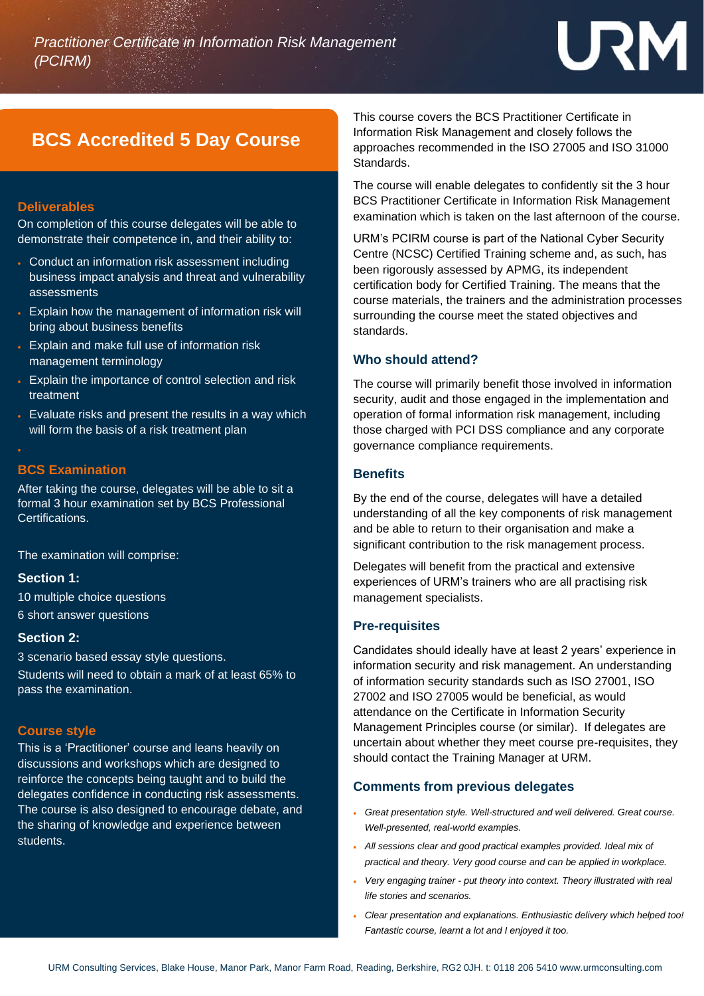# URM

### **BCS Accredited 5 Day Course**

#### **Deliverables**

On completion of this course delegates will be able to demonstrate their competence in, and their ability to:

- Conduct an information risk assessment including business impact analysis and threat and vulnerability assessments
- Explain how the management of information risk will bring about business benefits
- Explain and make full use of information risk management terminology
- Explain the importance of control selection and risk treatment
- Evaluate risks and present the results in a way which will form the basis of a risk treatment plan

#### **BCS Examination**

After taking the course, delegates will be able to sit a formal 3 hour examination set by BCS Professional Certifications.

The examination will comprise:

#### **Section 1:**

10 multiple choice questions 6 short answer questions

#### **Section 2:**

3 scenario based essay style questions.

Students will need to obtain a mark of at least 65% to pass the examination.

#### **Course style**

This is a 'Practitioner' course and leans heavily on discussions and workshops which are designed to reinforce the concepts being taught and to build the delegates confidence in conducting risk assessments. The course is also designed to encourage debate, and the sharing of knowledge and experience between students.

This course covers the BCS Practitioner Certificate in Information Risk Management and closely follows the approaches recommended in the ISO 27005 and ISO 31000 Standards.

The course will enable delegates to confidently sit the 3 hour BCS Practitioner Certificate in Information Risk Management examination which is taken on the last afternoon of the course.

URM's PCIRM course is part of the National Cyber Security Centre (NCSC) Certified Training scheme and, as such, has been rigorously assessed by APMG, its independent certification body for Certified Training. The means that the course materials, the trainers and the administration processes surrounding the course meet the stated objectives and standards.

#### **Who should attend?**

The course will primarily benefit those involved in information security, audit and those engaged in the implementation and operation of formal information risk management, including those charged with PCI DSS compliance and any corporate governance compliance requirements.

#### **Benefits**

By the end of the course, delegates will have a detailed understanding of all the key components of risk management and be able to return to their organisation and make a significant contribution to the risk management process.

Delegates will benefit from the practical and extensive experiences of URM's trainers who are all practising risk management specialists.

#### **Pre-requisites**

Candidates should ideally have at least 2 years' experience in information security and risk management. An understanding of information security standards such as ISO 27001, ISO 27002 and ISO 27005 would be beneficial, as would attendance on the Certificate in Information Security Management Principles course (or similar). If delegates are uncertain about whether they meet course pre-requisites, they should contact the Training Manager at URM.

#### **Comments from previous delegates**

- *Great presentation style. Well-structured and well delivered. Great course. Well-presented, real-world examples.*
- *All sessions clear and good practical examples provided. Ideal mix of practical and theory. Very good course and can be applied in workplace.*
- *Very engaging trainer - put theory into context. Theory illustrated with real life stories and scenarios.*
- *Clear presentation and explanations. Enthusiastic delivery which helped too! Fantastic course, learnt a lot and I enjoyed it too.*